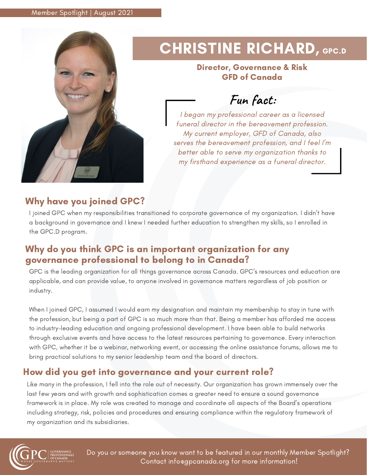

# CHRISTINE RICHARD, GPC.D

#### Director, Governance & Risk GFD of Canada

**Fun fact:**

I began my professional career as a licensed funeral director in the bereavement profession. My current employer, GFD of Canada, also serves the bereavement profession, and I feel I'm better able to serve my organization thanks to my firsthand experience as a funeral director.

## Why have you joined GPC?

I joined GPC when my responsibilities transitioned to corporate governance of my organization. I didn't have a background in governance and I knew I needed further education to strengthen my skills, so I enrolled in the GPC.D program.

## Why do you think GPC is an important organization for any governance professional to belong to in Canada?

GPC is the leading organization for all things governance across Canada. GPC's resources and education are applicable, and can provide value, to anyone involved in governance matters regardless of job position or industry.

When I joined GPC, I assumed I would earn my designation and maintain my membership to stay in tune with the profession, but being a part of GPC is so much more than that. Being a member has afforded me access to industry-leading education and ongoing professional development. I have been able to build networks through exclusive events and have access to the latest resources pertaining to governance. Every interaction with GPC, whether it be a webinar, networking event, or accessing the online assistance forums, allows me to bring practical solutions to my senior leadership team and the board of directors.

## How did you get into governance and your current role?

Like many in the profession, I fell into the role out of necessity. Our organization has grown immensely over the last few years and with growth and sophistication comes a greater need to ensure a sound governance framework is in place. My role was created to manage and coordinate all aspects of the Board's operations including strategy, risk, policies and procedures and ensuring compliance within the regulatory framework of my organization and its subsidiaries.



Do you or someone you know want to be featured in our monthly Member Spotlight? Contact info@gpcanada.org for more information!